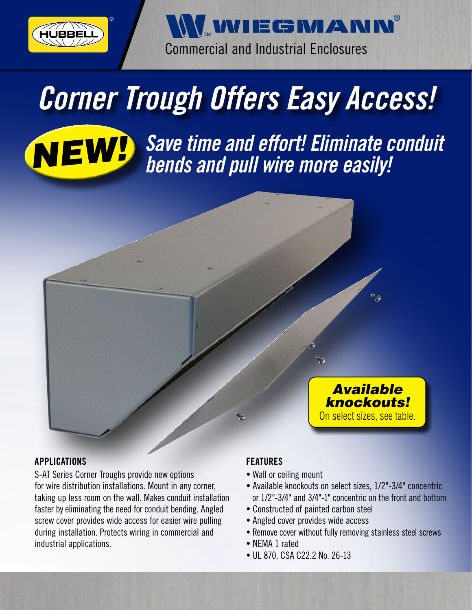

WwIEGMANN Commercial and Industrial Enclosures

# *Corner Trough Offers Easy Access!*



*NEW! Save time and effort! Eliminate conduit bends and pull wire more easily!*



### APPLICATIONS

S-AT Series Corner Troughs provide new options for wire distribution installations. Mount in any corner, taking up less room on the wall. Makes conduit installation faster by eliminating the need for conduit bending. Angled screw cover provides wide access for easier wire pulling during installation. Protects wiring in commercial and industrial applications.

### FEATURES

- **•** Wall or ceiling mount
- **•** Available knockouts on select sizes, 1/2"-3/4" concentric or 1/2"-3/4" and 3/4"-1" concentric on the front and bottom
- **•** Constructed of painted carbon steel
- **•** Angled cover provides wide access
- **•** Remove cover without fully removing stainless steel screws
- **•** NEMA 1 rated
- **•** UL 870, CSA C22.2 No. 26-13